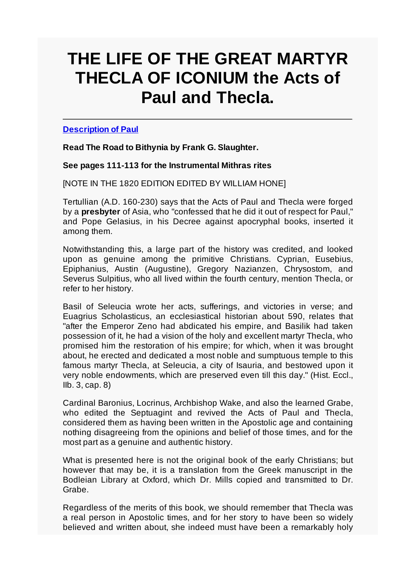# **THE LIFE OF THE GREAT MARTYR THECLA OF ICONIUM the Acts of Paul and Thecla.**

**Description of Paul**

**Read The Road to Bithynia by Frank G. Slaughter.**

**See pages 111-113 for the Instrumental Mithras rites**

[NOTE IN THE 1820 EDITION EDITED BY WILLIAM HONE]

Tertullian (A.D. 160-230) says that the Acts of Paul and Thecla were forged by a **presbyter** of Asia, who "confessed that he did it out of respect for Paul," and Pope Gelasius, in his Decree against apocryphal books, inserted it among them.

Notwithstanding this, a large part of the history was credited, and looked upon as genuine among the primitive Christians. Cyprian, Eusebius, Epiphanius, Austin (Augustine), Gregory Nazianzen, Chrysostom, and Severus Sulpitius, who all lived within the fourth century, mention Thecla, or refer to her history.

Basil of Seleucia wrote her acts, sufferings, and victories in verse; and Euagrius Scholasticus, an ecclesiastical historian about 590, relates that "after the Emperor Zeno had abdicated his empire, and Basilik had taken possession of it, he had a vision of the holy and excellent martyr Thecla, who promised him the restoration of his empire; for which, when it was brought about, he erected and dedicated a most noble and sumptuous temple to this famous martyr Thecla, at Seleucia, a city of Isauria, and bestowed upon it very noble endowments, which are preserved even till this day." (Hist. Eccl., IIb. 3, cap. 8)

Cardinal Baronius, Locrinus, Archbishop Wake, and also the learned Grabe, who edited the Septuagint and revived the Acts of Paul and Thecla, considered them as having been written in the Apostolic age and containing nothing disagreeing from the opinions and belief of those times, and for the most part as a genuine and authentic history.

What is presented here is not the original book of the early Christians; but however that may be, it is a translation from the Greek manuscript in the Bodleian Library at Oxford, which Dr. Mills copied and transmitted to Dr. Grabe.

Regardless of the merits of this book, we should remember that Thecla was a real person in Apostolic times, and for her story to have been so widely believed and written about, she indeed must have been a remarkably holy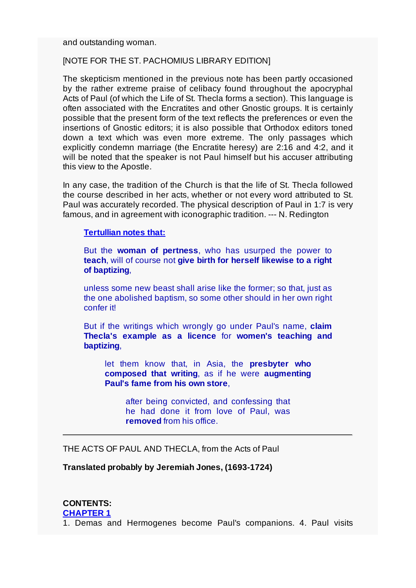and outstanding woman.

#### [NOTE FOR THE ST. PACHOMIUS LIBRARY EDITION]

The skepticism mentioned in the previous note has been partly occasioned by the rather extreme praise of celibacy found throughout the apocryphal Acts of Paul (of which the Life of St. Thecla forms a section). This language is often associated with the Encratites and other Gnostic groups. It is certainly possible that the present form of the text reflects the preferences or even the insertions of Gnostic editors; it is also possible that Orthodox editors toned down a text which was even more extreme. The only passages which explicitly condemn marriage (the Encratite heresy) are 2:16 and 4:2, and it will be noted that the speaker is not Paul himself but his accuser attributing this view to the Apostle.

In any case, the tradition of the Church is that the life of St. Thecla followed the course described in her acts, whether or not every word attributed to St. Paul was accurately recorded. The physical description of Paul in 1:7 is very famous, and in agreement with iconographic tradition. --- N. Redington

### **Tertullian notes that:**

But the **woman of pertness**, who has usurped the power to **teach**, will of course not **give birth for herself likewise to a right of baptizing**,

unless some new beast shall arise like the former; so that, just as the one abolished baptism, so some other should in her own right confer it!

But if the writings which wrongly go under Paul's name, **claim Thecla's example as a licence** for **women's teaching and baptizing**,

let them know that, in Asia, the **presbyter who composed that writing**, as if he were **augmenting Paul's fame from his own store**,

after being convicted, and confessing that he had done it from love of Paul, was **removed** from his office.

THE ACTS OF PAUL AND THECLA, from the Acts of Paul

**Translated probably by Jeremiah Jones, (1693-1724)**

**CONTENTS: CHAPTER 1** 1. Demas and Hermogenes become Paul's companions. 4. Paul visits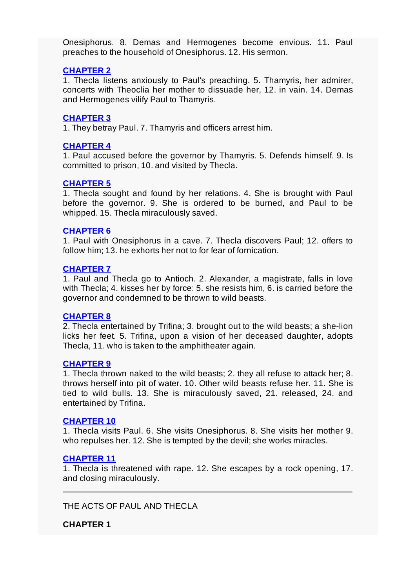Onesiphorus. 8. Demas and Hermogenes become envious. 11. Paul preaches to the household of Onesiphorus. 12. His sermon.

## **CHAPTER 2**

1. Thecla listens anxiously to Paul's preaching. 5. Thamyris, her admirer, concerts with Theoclia her mother to dissuade her, 12. in vain. 14. Demas and Hermogenes vilify Paul to Thamyris.

## **CHAPTER 3**

1. They betray Paul. 7. Thamyris and officers arrest him.

## **CHAPTER 4**

1. Paul accused before the governor by Thamyris. 5. Defends himself. 9. Is committed to prison, 10. and visited by Thecla.

#### **CHAPTER 5**

1. Thecla sought and found by her relations. 4. She is brought with Paul before the governor. 9. She is ordered to be burned, and Paul to be whipped. 15. Thecla miraculously saved.

## **CHAPTER 6**

1. Paul with Onesiphorus in a cave. 7. Thecla discovers Paul; 12. offers to follow him; 13. he exhorts her not to for fear of fornication.

#### **CHAPTER 7**

1. Paul and Thecla go to Antioch. 2. Alexander, a magistrate, falls in love with Thecla; 4. kisses her by force: 5. she resists him, 6. is carried before the governor and condemned to be thrown to wild beasts.

### **CHAPTER 8**

2. Thecla entertained by Trifina; 3. brought out to the wild beasts; a she-lion licks her feet. 5. Trifina, upon a vision of her deceased daughter, adopts Thecla, 11. who is taken to the amphitheater again.

#### **CHAPTER 9**

1. Thecla thrown naked to the wild beasts; 2. they all refuse to attack her; 8. throws herself into pit of water. 10. Other wild beasts refuse her. 11. She is tied to wild bulls. 13. She is miraculously saved, 21. released, 24. and entertained by Trifina.

#### **CHAPTER 10**

1. Thecla visits Paul. 6. She visits Onesiphorus. 8. She visits her mother 9. who repulses her. 12. She is tempted by the devil; she works miracles.

#### **CHAPTER 11**

1. Thecla is threatened with rape. 12. She escapes by a rock opening, 17. and closing miraculously.

THE ACTS OF PAUL AND THECLA

**CHAPTER 1**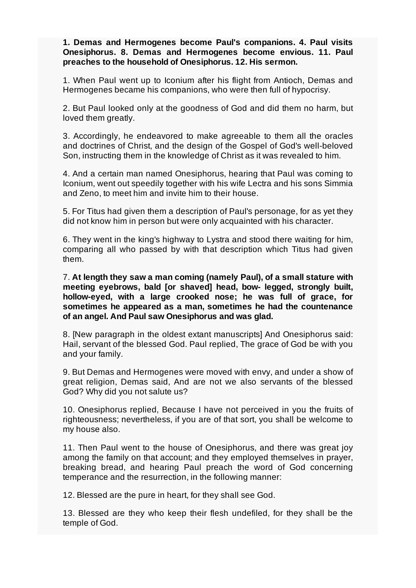**1. Demas and Hermogenes become Paul's companions. 4. Paul visits Onesiphorus. 8. Demas and Hermogenes become envious. 11. Paul preaches to the household of Onesiphorus. 12. His sermon.**

1. When Paul went up to Iconium after his flight from Antioch, Demas and Hermogenes became his companions, who were then full of hypocrisy.

2. But Paul looked only at the goodness of God and did them no harm, but loved them greatly.

3. Accordingly, he endeavored to make agreeable to them all the oracles and doctrines of Christ, and the design of the Gospel of God's well-beloved Son, instructing them in the knowledge of Christ as it was revealed to him.

4. And a certain man named Onesiphorus, hearing that Paul was coming to Iconium, went out speedily together with his wife Lectra and his sons Simmia and Zeno, to meet him and invite him to their house.

5. For Titus had given them a description of Paul's personage, for as yet they did not know him in person but were only acquainted with his character.

6. They went in the king's highway to Lystra and stood there waiting for him, comparing all who passed by with that description which Titus had given them.

7. **At length they saw a man coming (namely Paul), of a small stature with meeting eyebrows, bald [or shaved] head, bow- legged, strongly built, hollow-eyed, with a large crooked nose; he was full of grace, for sometimes he appeared as a man, sometimes he had the countenance of an angel. And Paul saw Onesiphorus and was glad.**

8. [New paragraph in the oldest extant manuscripts] And Onesiphorus said: Hail, servant of the blessed God. Paul replied, The grace of God be with you and your family.

9. But Demas and Hermogenes were moved with envy, and under a show of great religion, Demas said, And are not we also servants of the blessed God? Why did you not salute us?

10. Onesiphorus replied, Because I have not perceived in you the fruits of righteousness; nevertheless, if you are of that sort, you shall be welcome to my house also.

11. Then Paul went to the house of Onesiphorus, and there was great joy among the family on that account; and they employed themselves in prayer, breaking bread, and hearing Paul preach the word of God concerning temperance and the resurrection, in the following manner:

12. Blessed are the pure in heart, for they shall see God.

13. Blessed are they who keep their flesh undefiled, for they shall be the temple of God.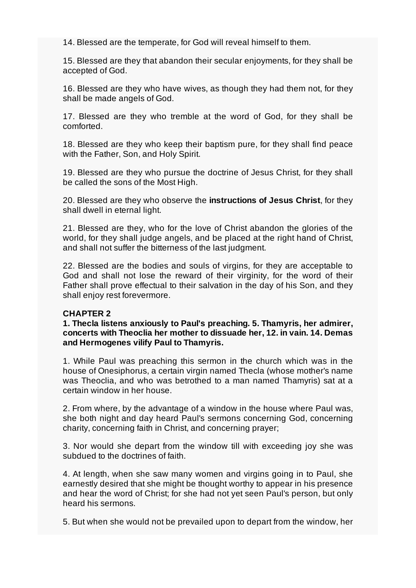14. Blessed are the temperate, for God will reveal himself to them.

15. Blessed are they that abandon their secular enjoyments, for they shall be accepted of God.

16. Blessed are they who have wives, as though they had them not, for they shall be made angels of God.

17. Blessed are they who tremble at the word of God, for they shall be comforted.

18. Blessed are they who keep their baptism pure, for they shall find peace with the Father, Son, and Holy Spirit.

19. Blessed are they who pursue the doctrine of Jesus Christ, for they shall be called the sons of the Most High.

20. Blessed are they who observe the **instructions of Jesus Christ**, for they shall dwell in eternal light.

21. Blessed are they, who for the love of Christ abandon the glories of the world, for they shall judge angels, and be placed at the right hand of Christ, and shall not suffer the bitterness of the last judgment.

22. Blessed are the bodies and souls of virgins, for they are acceptable to God and shall not lose the reward of their virginity, for the word of their Father shall prove effectual to their salvation in the day of his Son, and they shall enjoy rest forevermore.

#### **CHAPTER 2**

**1. Thecla listens anxiously to Paul's preaching. 5. Thamyris, her admirer, concerts with Theoclia her mother to dissuade her, 12. in vain. 14. Demas and Hermogenes vilify Paul to Thamyris.**

1. While Paul was preaching this sermon in the church which was in the house of Onesiphorus, a certain virgin named Thecla (whose mother's name was Theoclia, and who was betrothed to a man named Thamyris) sat at a certain window in her house.

2. From where, by the advantage of a window in the house where Paul was, she both night and day heard Paul's sermons concerning God, concerning charity, concerning faith in Christ, and concerning prayer;

3. Nor would she depart from the window till with exceeding joy she was subdued to the doctrines of faith.

4. At length, when she saw many women and virgins going in to Paul, she earnestly desired that she might be thought worthy to appear in his presence and hear the word of Christ; for she had not yet seen Paul's person, but only heard his sermons.

5. But when she would not be prevailed upon to depart from the window, her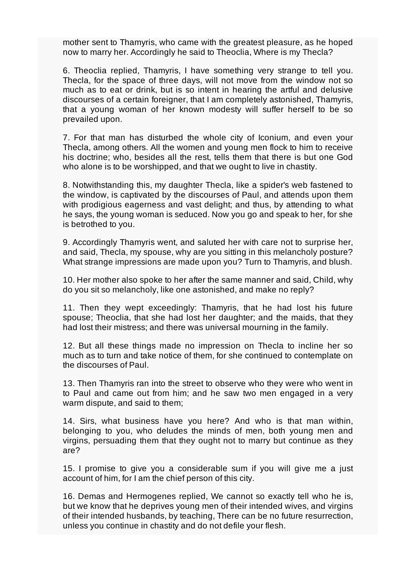mother sent to Thamyris, who came with the greatest pleasure, as he hoped now to marry her. Accordingly he said to Theoclia, Where is my Thecla?

6. Theoclia replied, Thamyris, I have something very strange to tell you. Thecla, for the space of three days, will not move from the window not so much as to eat or drink, but is so intent in hearing the artful and delusive discourses of a certain foreigner, that I am completely astonished, Thamyris, that a young woman of her known modesty will suffer herself to be so prevailed upon.

7. For that man has disturbed the whole city of Iconium, and even your Thecla, among others. All the women and young men flock to him to receive his doctrine; who, besides all the rest, tells them that there is but one God who alone is to be worshipped, and that we ought to live in chastity.

8. Notwithstanding this, my daughter Thecla, like a spider's web fastened to the window, is captivated by the discourses of Paul, and attends upon them with prodigious eagerness and vast delight; and thus, by attending to what he says, the young woman is seduced. Now you go and speak to her, for she is betrothed to you.

9. Accordingly Thamyris went, and saluted her with care not to surprise her, and said, Thecla, my spouse, why are you sitting in this melancholy posture? What strange impressions are made upon you? Turn to Thamyris, and blush.

10. Her mother also spoke to her after the same manner and said, Child, why do you sit so melancholy, like one astonished, and make no reply?

11. Then they wept exceedingly: Thamyris, that he had lost his future spouse; Theoclia, that she had lost her daughter; and the maids, that they had lost their mistress; and there was universal mourning in the family.

12. But all these things made no impression on Thecla to incline her so much as to turn and take notice of them, for she continued to contemplate on the discourses of Paul.

13. Then Thamyris ran into the street to observe who they were who went in to Paul and came out from him; and he saw two men engaged in a very warm dispute, and said to them;

14. Sirs, what business have you here? And who is that man within, belonging to you, who deludes the minds of men, both young men and virgins, persuading them that they ought not to marry but continue as they are?

15. I promise to give you a considerable sum if you will give me a just account of him, for I am the chief person of this city.

16. Demas and Hermogenes replied, We cannot so exactly tell who he is, but we know that he deprives young men of their intended wives, and virgins of their intended husbands, by teaching, There can be no future resurrection, unless you continue in chastity and do not defile your flesh.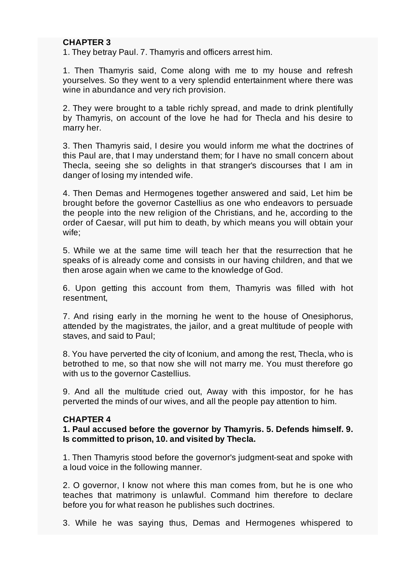## **CHAPTER 3**

1. They betray Paul. 7. Thamyris and officers arrest him.

1. Then Thamyris said, Come along with me to my house and refresh yourselves. So they went to a very splendid entertainment where there was wine in abundance and very rich provision.

2. They were brought to a table richly spread, and made to drink plentifully by Thamyris, on account of the love he had for Thecla and his desire to marry her.

3. Then Thamyris said, I desire you would inform me what the doctrines of this Paul are, that I may understand them; for I have no small concern about Thecla, seeing she so delights in that stranger's discourses that I am in danger of losing my intended wife.

4. Then Demas and Hermogenes together answered and said, Let him be brought before the governor Castellius as one who endeavors to persuade the people into the new religion of the Christians, and he, according to the order of Caesar, will put him to death, by which means you will obtain your wife;

5. While we at the same time will teach her that the resurrection that he speaks of is already come and consists in our having children, and that we then arose again when we came to the knowledge of God.

6. Upon getting this account from them, Thamyris was filled with hot resentment,

7. And rising early in the morning he went to the house of Onesiphorus, attended by the magistrates, the jailor, and a great multitude of people with staves, and said to Paul;

8. You have perverted the city of Iconium, and among the rest, Thecla, who is betrothed to me, so that now she will not marry me. You must therefore go with us to the governor Castellius.

9. And all the multitude cried out, Away with this impostor, for he has perverted the minds of our wives, and all the people pay attention to him.

#### **CHAPTER 4**

**1. Paul accused before the governor by Thamyris. 5. Defends himself. 9. Is committed to prison, 10. and visited by Thecla.**

1. Then Thamyris stood before the governor's judgment-seat and spoke with a loud voice in the following manner.

2. O governor, I know not where this man comes from, but he is one who teaches that matrimony is unlawful. Command him therefore to declare before you for what reason he publishes such doctrines.

3. While he was saying thus, Demas and Hermogenes whispered to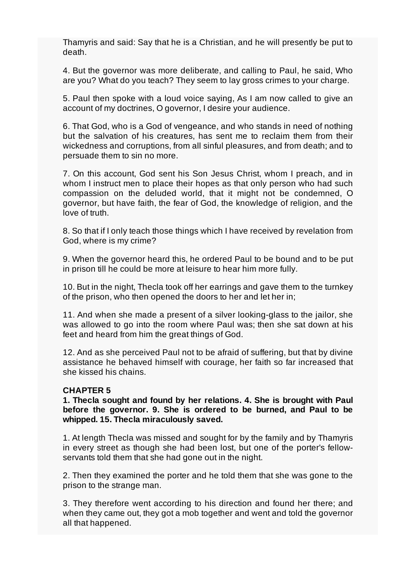Thamyris and said: Say that he is a Christian, and he will presently be put to death.

4. But the governor was more deliberate, and calling to Paul, he said, Who are you? What do you teach? They seem to lay gross crimes to your charge.

5. Paul then spoke with a loud voice saying, As I am now called to give an account of my doctrines, O governor, I desire your audience.

6. That God, who is a God of vengeance, and who stands in need of nothing but the salvation of his creatures, has sent me to reclaim them from their wickedness and corruptions, from all sinful pleasures, and from death; and to persuade them to sin no more.

7. On this account, God sent his Son Jesus Christ, whom I preach, and in whom I instruct men to place their hopes as that only person who had such compassion on the deluded world, that it might not be condemned, O governor, but have faith, the fear of God, the knowledge of religion, and the love of truth.

8. So that if I only teach those things which I have received by revelation from God, where is my crime?

9. When the governor heard this, he ordered Paul to be bound and to be put in prison till he could be more at leisure to hear him more fully.

10. But in the night, Thecla took off her earrings and gave them to the turnkey of the prison, who then opened the doors to her and let her in;

11. And when she made a present of a silver looking-glass to the jailor, she was allowed to go into the room where Paul was; then she sat down at his feet and heard from him the great things of God.

12. And as she perceived Paul not to be afraid of suffering, but that by divine assistance he behaved himself with courage, her faith so far increased that she kissed his chains.

#### **CHAPTER 5**

**1. Thecla sought and found by her relations. 4. She is brought with Paul before the governor. 9. She is ordered to be burned, and Paul to be whipped. 15. Thecla miraculously saved.**

1. At length Thecla was missed and sought for by the family and by Thamyris in every street as though she had been lost, but one of the porter's fellowservants told them that she had gone out in the night.

2. Then they examined the porter and he told them that she was gone to the prison to the strange man.

3. They therefore went according to his direction and found her there; and when they came out, they got a mob together and went and told the governor all that happened.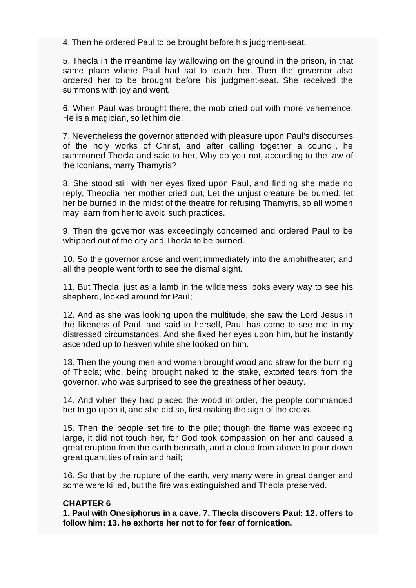4. Then he ordered Paul to be brought before his judgment-seat.

5. Thecla in the meantime lay wallowing on the ground in the prison, in that same place where Paul had sat to teach her. Then the governor also ordered her to be brought before his judgment-seat. She received the summons with joy and went.

6. When Paul was brought there, the mob cried out with more vehemence, He is a magician, so let him die.

7. Nevertheless the governor attended with pleasure upon Paul's discourses of the holy works of Christ, and after calling together a council, he summoned Thecla and said to her, Why do you not, according to the law of the Iconians, marry Thamyris?

8. She stood still with her eyes fixed upon Paul, and finding she made no reply, Theoclia her mother cried out, Let the unjust creature be burned; let her be burned in the midst of the theatre for refusing Thamyris, so all women may learn from her to avoid such practices.

9. Then the governor was exceedingly concerned and ordered Paul to be whipped out of the city and Thecla to be burned.

10. So the governor arose and went immediately into the amphitheater; and all the people went forth to see the dismal sight.

11. But Thecla, just as a lamb in the wilderness looks every way to see his shepherd, looked around for Paul;

12. And as she was looking upon the multitude, she saw the Lord Jesus in the likeness of Paul, and said to herself, Paul has come to see me in my distressed circumstances. And she fixed her eyes upon him, but he instantly ascended up to heaven while she looked on him.

13. Then the young men and women brought wood and straw for the burning of Thecla; who, being brought naked to the stake, extorted tears from the governor, who was surprised to see the greatness of her beauty.

14. And when they had placed the wood in order, the people commanded her to go upon it, and she did so, first making the sign of the cross.

15. Then the people set fire to the pile; though the flame was exceeding large, it did not touch her, for God took compassion on her and caused a great eruption from the earth beneath, and a cloud from above to pour down great quantities of rain and hail;

16. So that by the rupture of the earth, very many were in great danger and some were killed, but the fire was extinguished and Thecla preserved.

#### **CHAPTER 6**

**1. Paul with Onesiphorus in a cave. 7. Thecla discovers Paul; 12. offers to follow him; 13. he exhorts her not to for fear of fornication.**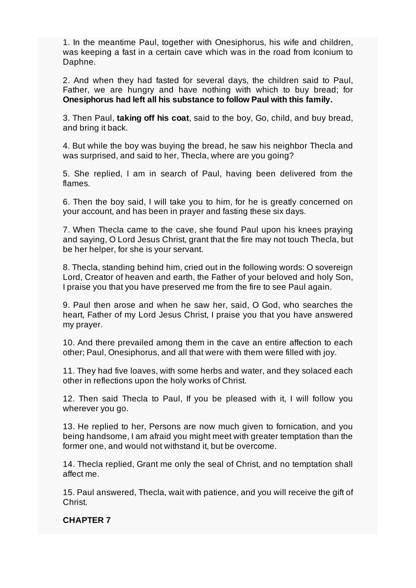1. In the meantime Paul, together with Onesiphorus, his wife and children, was keeping a fast in a certain cave which was in the road from Iconium to Daphne.

2. And when they had fasted for several days, the children said to Paul, Father, we are hungry and have nothing with which to buy bread; for **Onesiphorus had left all his substance to follow Paul with this family.**

3. Then Paul, **taking off his coat**, said to the boy, Go, child, and buy bread, and bring it back.

4. But while the boy was buying the bread, he saw his neighbor Thecla and was surprised, and said to her, Thecla, where are you going?

5. She replied, I am in search of Paul, having been delivered from the flames.

6. Then the boy said, I will take you to him, for he is greatly concerned on your account, and has been in prayer and fasting these six days.

7. When Thecla came to the cave, she found Paul upon his knees praying and saying, O Lord Jesus Christ, grant that the fire may not touch Thecla, but be her helper, for she is your servant.

8. Thecla, standing behind him, cried out in the following words: O sovereign Lord, Creator of heaven and earth, the Father of your beloved and holy Son, I praise you that you have preserved me from the fire to see Paul again.

9. Paul then arose and when he saw her, said, O God, who searches the heart, Father of my Lord Jesus Christ, I praise you that you have answered my prayer.

10. And there prevailed among them in the cave an entire affection to each other; Paul, Onesiphorus, and all that were with them were filled with joy.

11. They had five loaves, with some herbs and water, and they solaced each other in reflections upon the holy works of Christ.

12. Then said Thecla to Paul, If you be pleased with it, I will follow you wherever you go.

13. He replied to her, Persons are now much given to fornication, and you being handsome, I am afraid you might meet with greater temptation than the former one, and would not withstand it, but be overcome.

14. Thecla replied, Grant me only the seal of Christ, and no temptation shall affect me.

15. Paul answered, Thecla, wait with patience, and you will receive the gift of Christ.

#### **CHAPTER 7**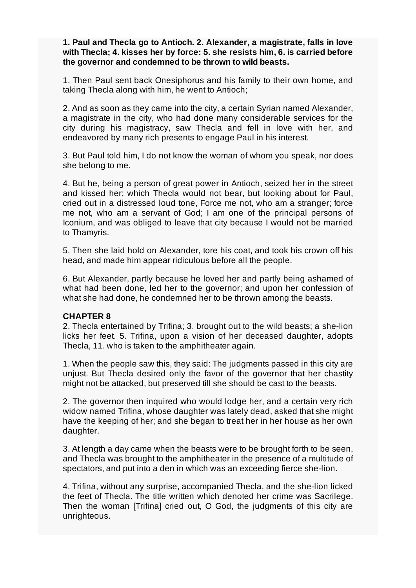## **1. Paul and Thecla go to Antioch. 2. Alexander, a magistrate, falls in love with Thecla; 4. kisses her by force: 5. she resists him, 6. is carried before the governor and condemned to be thrown to wild beasts.**

1. Then Paul sent back Onesiphorus and his family to their own home, and taking Thecla along with him, he went to Antioch;

2. And as soon as they came into the city, a certain Syrian named Alexander, a magistrate in the city, who had done many considerable services for the city during his magistracy, saw Thecla and fell in love with her, and endeavored by many rich presents to engage Paul in his interest.

3. But Paul told him, I do not know the woman of whom you speak, nor does she belong to me.

4. But he, being a person of great power in Antioch, seized her in the street and kissed her; which Thecla would not bear, but looking about for Paul, cried out in a distressed loud tone, Force me not, who am a stranger; force me not, who am a servant of God; I am one of the principal persons of Iconium, and was obliged to leave that city because I would not be married to Thamyris.

5. Then she laid hold on Alexander, tore his coat, and took his crown off his head, and made him appear ridiculous before all the people.

6. But Alexander, partly because he loved her and partly being ashamed of what had been done, led her to the governor; and upon her confession of what she had done, he condemned her to be thrown among the beasts.

#### **CHAPTER 8**

2. Thecla entertained by Trifina; 3. brought out to the wild beasts; a she-lion licks her feet. 5. Trifina, upon a vision of her deceased daughter, adopts Thecla, 11. who is taken to the amphitheater again.

1. When the people saw this, they said: The judgments passed in this city are unjust. But Thecla desired only the favor of the governor that her chastity might not be attacked, but preserved till she should be cast to the beasts.

2. The governor then inquired who would lodge her, and a certain very rich widow named Trifina, whose daughter was lately dead, asked that she might have the keeping of her; and she began to treat her in her house as her own daughter.

3. At length a day came when the beasts were to be brought forth to be seen, and Thecla was brought to the amphitheater in the presence of a multitude of spectators, and put into a den in which was an exceeding fierce she-lion.

4. Trifina, without any surprise, accompanied Thecla, and the she-lion licked the feet of Thecla. The title written which denoted her crime was Sacrilege. Then the woman [Trifina] cried out, O God, the judgments of this city are unrighteous.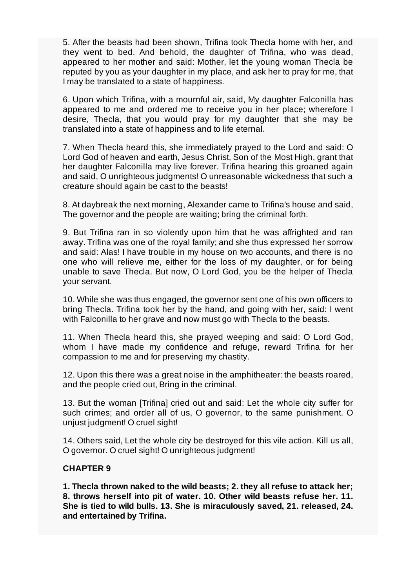5. After the beasts had been shown, Trifina took Thecla home with her, and they went to bed. And behold, the daughter of Trifina, who was dead, appeared to her mother and said: Mother, let the young woman Thecla be reputed by you as your daughter in my place, and ask her to pray for me, that I may be translated to a state of happiness.

6. Upon which Trifina, with a mournful air, said, My daughter Falconilla has appeared to me and ordered me to receive you in her place; wherefore I desire, Thecla, that you would pray for my daughter that she may be translated into a state of happiness and to life eternal.

7. When Thecla heard this, she immediately prayed to the Lord and said: O Lord God of heaven and earth, Jesus Christ, Son of the Most High, grant that her daughter Falconilla may live forever. Trifina hearing this groaned again and said, O unrighteous judgments! O unreasonable wickedness that such a creature should again be cast to the beasts!

8. At daybreak the next morning, Alexander came to Trifina's house and said, The governor and the people are waiting; bring the criminal forth.

9. But Trifina ran in so violently upon him that he was affrighted and ran away. Trifina was one of the royal family; and she thus expressed her sorrow and said: Alas! I have trouble in my house on two accounts, and there is no one who will relieve me, either for the loss of my daughter, or for being unable to save Thecla. But now, O Lord God, you be the helper of Thecla your servant.

10. While she was thus engaged, the governor sent one of his own officers to bring Thecla. Trifina took her by the hand, and going with her, said: I went with Falconilla to her grave and now must go with Thecla to the beasts.

11. When Thecla heard this, she prayed weeping and said: O Lord God, whom I have made my confidence and refuge, reward Trifina for her compassion to me and for preserving my chastity.

12. Upon this there was a great noise in the amphitheater: the beasts roared, and the people cried out, Bring in the criminal.

13. But the woman [Trifina] cried out and said: Let the whole city suffer for such crimes; and order all of us, O governor, to the same punishment. O unjust judgment! O cruel sight!

14. Others said, Let the whole city be destroyed for this vile action. Kill us all, O governor. O cruel sight! O unrighteous judgment!

#### **CHAPTER 9**

**1. Thecla thrown naked to the wild beasts; 2. they all refuse to attack her; 8. throws herself into pit of water. 10. Other wild beasts refuse her. 11. She is tied to wild bulls. 13. She is miraculously saved, 21. released, 24. and entertained by Trifina.**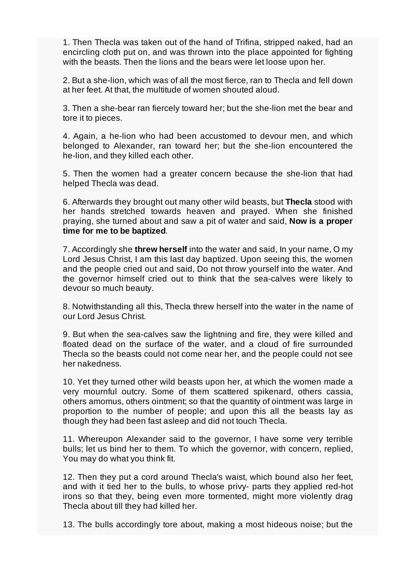1. Then Thecla was taken out of the hand of Trifina, stripped naked, had an encircling cloth put on, and was thrown into the place appointed for fighting with the beasts. Then the lions and the bears were let loose upon her.

2. But a she-lion, which was of all the most fierce, ran to Thecla and fell down at her feet. At that, the multitude of women shouted aloud.

3. Then a she-bear ran fiercely toward her; but the she-lion met the bear and tore it to pieces.

4. Again, a he-lion who had been accustomed to devour men, and which belonged to Alexander, ran toward her; but the she-lion encountered the he-lion, and they killed each other.

5. Then the women had a greater concern because the she-lion that had helped Thecla was dead.

6. Afterwards they brought out many other wild beasts, but **Thecla** stood with her hands stretched towards heaven and prayed. When she finished praying, she turned about and saw a pit of water and said, **Now is a proper time for me to be baptized**.

7. Accordingly she **threw herself** into the water and said, In your name, O my Lord Jesus Christ, I am this last day baptized. Upon seeing this, the women and the people cried out and said, Do not throw yourself into the water. And the governor himself cried out to think that the sea-calves were likely to devour so much beauty.

8. Notwithstanding all this, Thecla threw herself into the water in the name of our Lord Jesus Christ.

9. But when the sea-calves saw the lightning and fire, they were killed and floated dead on the surface of the water, and a cloud of fire surrounded Thecla so the beasts could not come near her, and the people could not see her nakedness.

10. Yet they turned other wild beasts upon her, at which the women made a very mournful outcry. Some of them scattered spikenard, others cassia, others amomus, others ointment; so that the quantity of ointment was large in proportion to the number of people; and upon this all the beasts lay as though they had been fast asleep and did not touch Thecla.

11. Whereupon Alexander said to the governor, I have some very terrible bulls; let us bind her to them. To which the governor, with concern, replied, You may do what you think fit.

12. Then they put a cord around Thecla's waist, which bound also her feet, and with it tied her to the bulls, to whose privy- parts they applied red-hot irons so that they, being even more tormented, might more violently drag Thecla about till they had killed her.

13. The bulls accordingly tore about, making a most hideous noise; but the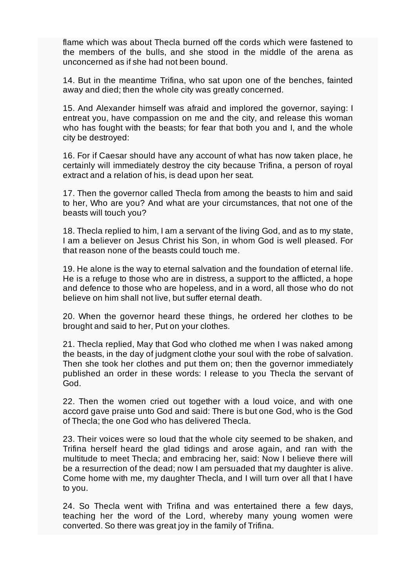flame which was about Thecla burned off the cords which were fastened to the members of the bulls, and she stood in the middle of the arena as unconcerned as if she had not been bound.

14. But in the meantime Trifina, who sat upon one of the benches, fainted away and died; then the whole city was greatly concerned.

15. And Alexander himself was afraid and implored the governor, saying: I entreat you, have compassion on me and the city, and release this woman who has fought with the beasts; for fear that both you and I, and the whole city be destroyed:

16. For if Caesar should have any account of what has now taken place, he certainly will immediately destroy the city because Trifina, a person of royal extract and a relation of his, is dead upon her seat.

17. Then the governor called Thecla from among the beasts to him and said to her, Who are you? And what are your circumstances, that not one of the beasts will touch you?

18. Thecla replied to him, I am a servant of the living God, and as to my state, I am a believer on Jesus Christ his Son, in whom God is well pleased. For that reason none of the beasts could touch me.

19. He alone is the way to eternal salvation and the foundation of eternal life. He is a refuge to those who are in distress, a support to the afflicted, a hope and defence to those who are hopeless, and in a word, all those who do not believe on him shall not live, but suffer eternal death.

20. When the governor heard these things, he ordered her clothes to be brought and said to her, Put on your clothes.

21. Thecla replied, May that God who clothed me when I was naked among the beasts, in the day of judgment clothe your soul with the robe of salvation. Then she took her clothes and put them on; then the governor immediately published an order in these words: I release to you Thecla the servant of God.

22. Then the women cried out together with a loud voice, and with one accord gave praise unto God and said: There is but one God, who is the God of Thecla; the one God who has delivered Thecla.

23. Their voices were so loud that the whole city seemed to be shaken, and Trifina herself heard the glad tidings and arose again, and ran with the multitude to meet Thecla; and embracing her, said: Now I believe there will be a resurrection of the dead; now I am persuaded that my daughter is alive. Come home with me, my daughter Thecla, and I will turn over all that I have to you.

24. So Thecla went with Trifina and was entertained there a few days, teaching her the word of the Lord, whereby many young women were converted. So there was great joy in the family of Trifina.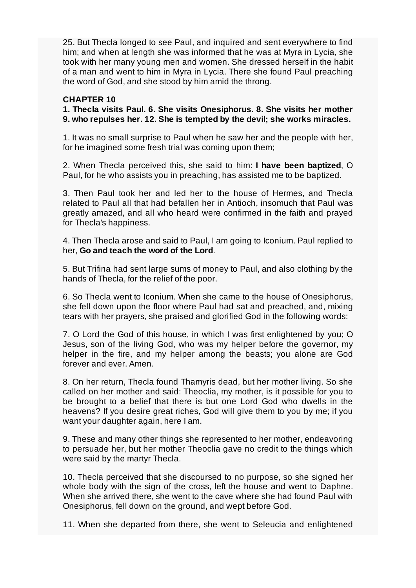25. But Thecla longed to see Paul, and inquired and sent everywhere to find him; and when at length she was informed that he was at Myra in Lycia, she took with her many young men and women. She dressed herself in the habit of a man and went to him in Myra in Lycia. There she found Paul preaching the word of God, and she stood by him amid the throng.

## **CHAPTER 10**

**1. Thecla visits Paul. 6. She visits Onesiphorus. 8. She visits her mother 9. who repulses her. 12. She is tempted by the devil; she works miracles.**

1. It was no small surprise to Paul when he saw her and the people with her, for he imagined some fresh trial was coming upon them;

2. When Thecla perceived this, she said to him: **I have been baptized**, O Paul, for he who assists you in preaching, has assisted me to be baptized.

3. Then Paul took her and led her to the house of Hermes, and Thecla related to Paul all that had befallen her in Antioch, insomuch that Paul was greatly amazed, and all who heard were confirmed in the faith and prayed for Thecla's happiness.

4. Then Thecla arose and said to Paul, I am going to Iconium. Paul replied to her, **Go and teach the word of the Lord**.

5. But Trifina had sent large sums of money to Paul, and also clothing by the hands of Thecla, for the relief of the poor.

6. So Thecla went to Iconium. When she came to the house of Onesiphorus, she fell down upon the floor where Paul had sat and preached, and, mixing tears with her prayers, she praised and glorified God in the following words:

7. O Lord the God of this house, in which I was first enlightened by you; O Jesus, son of the living God, who was my helper before the governor, my helper in the fire, and my helper among the beasts; you alone are God forever and ever. Amen.

8. On her return, Thecla found Thamyris dead, but her mother living. So she called on her mother and said: Theoclia, my mother, is it possible for you to be brought to a belief that there is but one Lord God who dwells in the heavens? If you desire great riches, God will give them to you by me; if you want your daughter again, here I am.

9. These and many other things she represented to her mother, endeavoring to persuade her, but her mother Theoclia gave no credit to the things which were said by the martyr Thecla.

10. Thecla perceived that she discoursed to no purpose, so she signed her whole body with the sign of the cross, left the house and went to Daphne. When she arrived there, she went to the cave where she had found Paul with Onesiphorus, fell down on the ground, and wept before God.

11. When she departed from there, she went to Seleucia and enlightened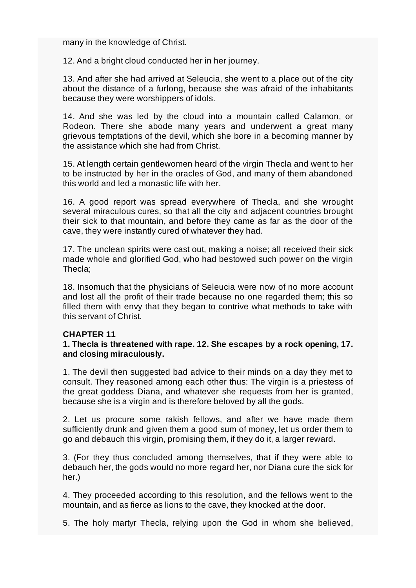many in the knowledge of Christ.

12. And a bright cloud conducted her in her journey.

13. And after she had arrived at Seleucia, she went to a place out of the city about the distance of a furlong, because she was afraid of the inhabitants because they were worshippers of idols.

14. And she was led by the cloud into a mountain called Calamon, or Rodeon. There she abode many years and underwent a great many grievous temptations of the devil, which she bore in a becoming manner by the assistance which she had from Christ.

15. At length certain gentlewomen heard of the virgin Thecla and went to her to be instructed by her in the oracles of God, and many of them abandoned this world and led a monastic life with her.

16. A good report was spread everywhere of Thecla, and she wrought several miraculous cures, so that all the city and adjacent countries brought their sick to that mountain, and before they came as far as the door of the cave, they were instantly cured of whatever they had.

17. The unclean spirits were cast out, making a noise; all received their sick made whole and glorified God, who had bestowed such power on the virgin Thecla;

18. Insomuch that the physicians of Seleucia were now of no more account and lost all the profit of their trade because no one regarded them; this so filled them with envy that they began to contrive what methods to take with this servant of Christ.

## **CHAPTER 11**

## **1. Thecla is threatened with rape. 12. She escapes by a rock opening, 17. and closing miraculously.**

1. The devil then suggested bad advice to their minds on a day they met to consult. They reasoned among each other thus: The virgin is a priestess of the great goddess Diana, and whatever she requests from her is granted, because she is a virgin and is therefore beloved by all the gods.

2. Let us procure some rakish fellows, and after we have made them sufficiently drunk and given them a good sum of money, let us order them to go and debauch this virgin, promising them, if they do it, a larger reward.

3. (For they thus concluded among themselves, that if they were able to debauch her, the gods would no more regard her, nor Diana cure the sick for her.)

4. They proceeded according to this resolution, and the fellows went to the mountain, and as fierce as lions to the cave, they knocked at the door.

5. The holy martyr Thecla, relying upon the God in whom she believed,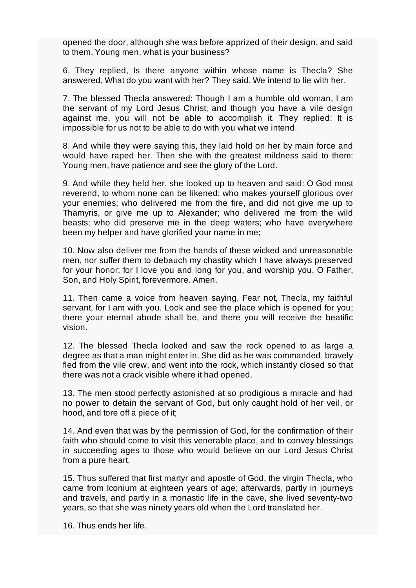opened the door, although she was before apprized of their design, and said to them, Young men, what is your business?

6. They replied, Is there anyone within whose name is Thecla? She answered, What do you want with her? They said, We intend to lie with her.

7. The blessed Thecla answered: Though I am a humble old woman, I am the servant of my Lord Jesus Christ; and though you have a vile design against me, you will not be able to accomplish it. They replied: It is impossible for us not to be able to do with you what we intend.

8. And while they were saying this, they laid hold on her by main force and would have raped her. Then she with the greatest mildness said to them: Young men, have patience and see the glory of the Lord.

9. And while they held her, she looked up to heaven and said: O God most reverend, to whom none can be likened; who makes yourself glorious over your enemies; who delivered me from the fire, and did not give me up to Thamyris, or give me up to Alexander; who delivered me from the wild beasts; who did preserve me in the deep waters; who have everywhere been my helper and have glorified your name in me;

10. Now also deliver me from the hands of these wicked and unreasonable men, nor suffer them to debauch my chastity which I have always preserved for your honor; for I love you and long for you, and worship you, O Father, Son, and Holy Spirit, forevermore. Amen.

11. Then came a voice from heaven saying, Fear not, Thecla, my faithful servant, for I am with you. Look and see the place which is opened for you; there your eternal abode shall be, and there you will receive the beatific vision.

12. The blessed Thecla looked and saw the rock opened to as large a degree as that a man might enter in. She did as he was commanded, bravely fled from the vile crew, and went into the rock, which instantly closed so that there was not a crack visible where it had opened.

13. The men stood perfectly astonished at so prodigious a miracle and had no power to detain the servant of God, but only caught hold of her veil, or hood, and tore off a piece of it;

14. And even that was by the permission of God, for the confirmation of their faith who should come to visit this venerable place, and to convey blessings in succeeding ages to those who would believe on our Lord Jesus Christ from a pure heart.

15. Thus suffered that first martyr and apostle of God, the virgin Thecla, who came from Iconium at eighteen years of age; afterwards, partly in journeys and travels, and partly in a monastic life in the cave, she lived seventy-two years, so that she was ninety years old when the Lord translated her.

16. Thus ends her life.